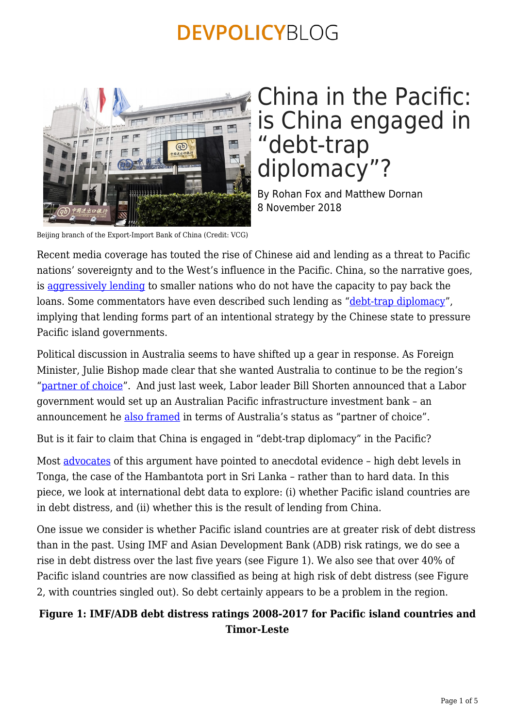

## China in the Pacific: is China engaged in "debt-trap diplomacy"?

By Rohan Fox and Matthew Dornan 8 November 2018

Beijing branch of the Export-Import Bank of China (Credit: VCG)

Recent media coverage has touted the rise of Chinese aid and lending as a threat to Pacific nations' sovereignty and to the West's influence in the Pacific. China, so the narrative goes, is [aggressively lending](https://www.theaustralian.com.au/national-affairs/pacific-nations-drowning-in-chinese-debt/news-story/082de1ecc957c9c4380bb9cb8555fa95) to smaller nations who do not have the capacity to pay back the loans. Some commentators have even described such lending as ["debt-trap diplomacy"](https://qz.com/1391770/the-anxious-chorus-around-chinese-debt-trap-diplomacy-doesnt-reflect-african-realities/), implying that lending forms part of an intentional strategy by the Chinese state to pressure Pacific island governments.

Political discussion in Australia seems to have shifted up a gear in response. As Foreign Minister, Julie Bishop made clear that she wanted Australia to continue to be the region's ["partner of choice](https://www.abc.net.au/radio/programs/am/julie-bishop-visits-sth-pacific-to-push-against-asian-investment/9574996)". And just last week, Labor leader Bill Shorten announced that a Labor government would set up an Australian Pacific infrastructure investment bank – an announcement he [also framed](https://devpolicy.org/labor-is-making-big-promises-for-a-new-pacific-development-bank-but-many-unanswered-questions-remain-20181031/) in terms of Australia's status as "partner of choice".

But is it fair to claim that China is engaged in "debt-trap diplomacy" in the Pacific?

Most [advocates](https://theconversation.com/soft-power-goes-hard-chinas-economic-interest-in-the-pacific-comes-with-strings-attached-103765?utm_medium=email&utm_campaign=Latest%20from%20The%20Conversation%20for%20October%2017%202018%20-%201138010251&utm_content=Latest%20from%20The%20Conversation%20for%20October%2017%202018%20-%201138010251+CID_e334afbf5257347ab2e6141fc26637a2&utm_source=campaign_monitor&utm_term=Soft%20power%20goes%20hard%20Chinas%20economic%20interest%20in%20the%20Pacific%20comes%20with%20strings%20attached) of this argument have pointed to anecdotal evidence – high debt levels in Tonga, the case of the Hambantota port in Sri Lanka – rather than to hard data. In this piece, we look at international debt data to explore: (i) whether Pacific island countries are in debt distress, and (ii) whether this is the result of lending from China.

One issue we consider is whether Pacific island countries are at greater risk of debt distress than in the past. Using IMF and Asian Development Bank (ADB) risk ratings, we do see a rise in debt distress over the last five years (see Figure 1). We also see that over 40% of Pacific island countries are now classified as being at high risk of debt distress (see Figure 2, with countries singled out). So debt certainly appears to be a problem in the region.

#### **Figure 1: IMF/ADB debt distress ratings 2008-2017 for Pacific island countries and Timor-Leste**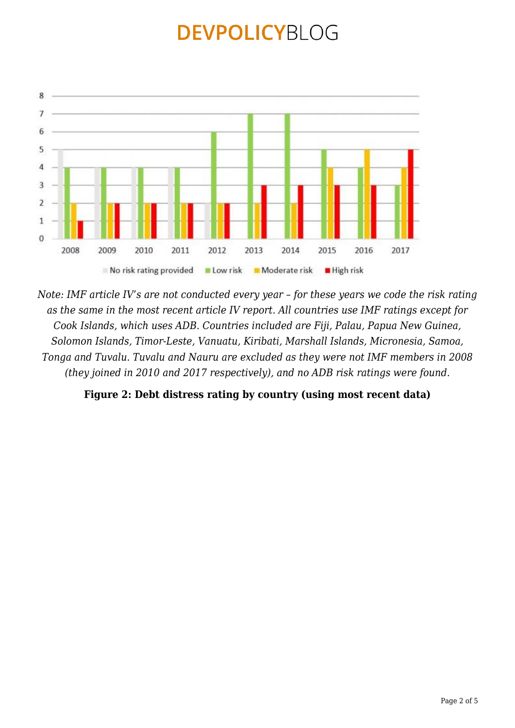

*Note: IMF article IV's are not conducted every year – for these years we code the risk rating as the same in the most recent article IV report. All countries use IMF ratings except for Cook Islands, which uses ADB. Countries included are Fiji, Palau, Papua New Guinea, Solomon Islands, Timor-Leste, Vanuatu, Kiribati, Marshall Islands, Micronesia, Samoa, Tonga and Tuvalu. Tuvalu and Nauru are excluded as they were not IMF members in 2008 (they joined in 2010 and 2017 respectively), and no ADB risk ratings were found.*

**Figure 2: Debt distress rating by country (using most recent data)**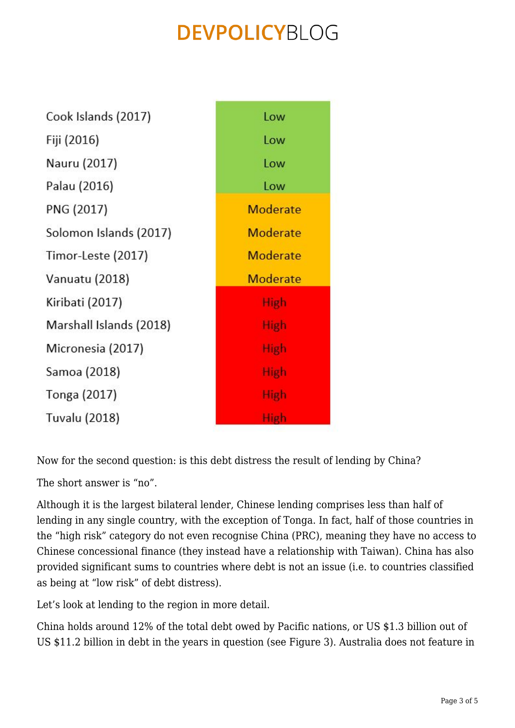Cook Islands (2017) Fiji (2016) Nauru (2017) Palau (2016) PNG (2017) Solomon Islands (2017) Timor-Leste (2017) Vanuatu (2018) Kiribati (2017) Marshall Islands (2018) Micronesia (2017) Samoa (2018) Tonga (2017) **Tuvalu (2018)** 

 $1<sub>OW</sub>$ **Low** Low **Low** Moderate Moderate Moderate **Moderate** High **High** High **High High** High

Now for the second question: is this debt distress the result of lending by China?

The short answer is "no".

Although it is the largest bilateral lender, Chinese lending comprises less than half of lending in any single country, with the exception of Tonga. In fact, half of those countries in the "high risk" category do not even recognise China (PRC), meaning they have no access to Chinese concessional finance (they instead have a relationship with Taiwan). China has also provided significant sums to countries where debt is not an issue (i.e. to countries classified as being at "low risk" of debt distress).

Let's look at lending to the region in more detail.

China holds around 12% of the total debt owed by Pacific nations, or US \$1.3 billion out of US \$11.2 billion in debt in the years in question (see Figure 3). Australia does not feature in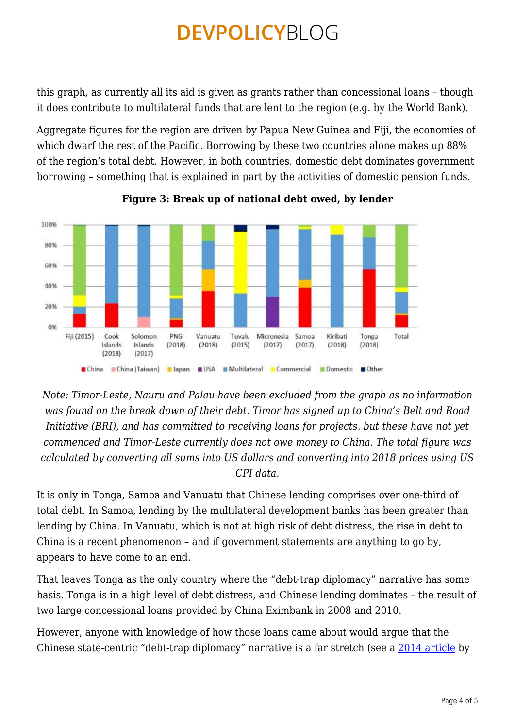this graph, as currently all its aid is given as grants rather than concessional loans – though it does contribute to multilateral funds that are lent to the region (e.g. by the World Bank).

Aggregate figures for the region are driven by Papua New Guinea and Fiji, the economies of which dwarf the rest of the Pacific. Borrowing by these two countries alone makes up 88% of the region's total debt. However, in both countries, domestic debt dominates government borrowing – something that is explained in part by the activities of domestic pension funds.



**Figure 3: Break up of national debt owed, by lender**

*Note: Timor-Leste, Nauru and Palau have been excluded from the graph as no information was found on the break down of their debt. Timor has signed up to China's Belt and Road Initiative (BRI), and has committed to receiving loans for projects, but these have not yet commenced and Timor-Leste currently does not owe money to China. The total figure was calculated by converting all sums into US dollars and converting into 2018 prices using US CPI data.*

It is only in Tonga, Samoa and Vanuatu that Chinese lending comprises over one-third of total debt. In Samoa, lending by the multilateral development banks has been greater than lending by China. In Vanuatu, which is not at high risk of debt distress, the rise in debt to China is a recent phenomenon – and if government statements are anything to go by, appears to have come to an end.

That leaves Tonga as the only country where the "debt-trap diplomacy" narrative has some basis. Tonga is in a high level of debt distress, and Chinese lending dominates – the result of two large concessional loans provided by China Eximbank in 2008 and 2010.

However, anyone with knowledge of how those loans came about would argue that the Chinese state-centric "debt-trap diplomacy" narrative is a far stretch (see a [2014 article](https://onlinelibrary.wiley.com/doi/abs/10.1002/app5.35) by